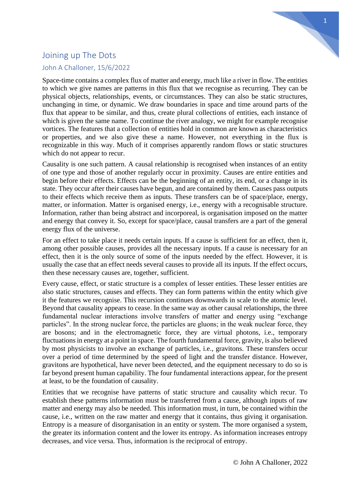

## Joining up The Dots

## John A Challoner, 15/6/2022

Space-time contains a complex flux of matter and energy, much like a river in flow. The entities to which we give names are patterns in this flux that we recognise as recurring. They can be physical objects, relationships, events, or circumstances. They can also be static structures, unchanging in time, or dynamic. We draw boundaries in space and time around parts of the flux that appear to be similar, and thus, create plural collections of entities, each instance of which is given the same name. To continue the river analogy, we might for example recognise vortices. The features that a collection of entities hold in common are known as characteristics or properties, and we also give these a name. However, not everything in the flux is recognizable in this way. Much of it comprises apparently random flows or static structures which do not appear to recur.

Causality is one such pattern. A causal relationship is recognised when instances of an entity of one type and those of another regularly occur in proximity. Causes are entire entities and begin before their effects. Effects can be the beginning of an entity, its end, or a change in its state. They occur after their causes have begun, and are contained by them. Causes pass outputs to their effects which receive them as inputs. These transfers can be of space/place, energy, matter, or information. Matter is organised energy, i.e., energy with a recognisable structure. Information, rather than being abstract and incorporeal, is organisation imposed on the matter and energy that convey it. So, except for space/place, causal transfers are a part of the general energy flux of the universe.

For an effect to take place it needs certain inputs. If a cause is sufficient for an effect, then it, among other possible causes, provides all the necessary inputs. If a cause is necessary for an effect, then it is the only source of some of the inputs needed by the effect. However, it is usually the case that an effect needs several causes to provide all its inputs. If the effect occurs, then these necessary causes are, together, sufficient.

Every cause, effect, or static structure is a complex of lesser entities. These lesser entities are also static structures, causes and effects. They can form patterns within the entity which give it the features we recognise. This recursion continues downwards in scale to the atomic level. Beyond that causality appears to cease. In the same way as other causal relationships, the three fundamental nuclear interactions involve transfers of matter and energy using "exchange particles". In the strong nuclear force, the particles are gluons; in the weak nuclear force, they are bosons; and in the electromagnetic force, they are virtual photons, i.e., temporary fluctuations in energy at a point in space. The fourth fundamental force, gravity, is also believed by most physicists to involve an exchange of particles, i.e., gravitons. These transfers occur over a period of time determined by the speed of light and the transfer distance. However, gravitons are hypothetical, have never been detected, and the equipment necessary to do so is far beyond present human capability. The four fundamental interactions appear, for the present at least, to be the foundation of causality.

Entities that we recognise have patterns of static structure and causality which recur. To establish these patterns information must be transferred from a cause, although inputs of raw matter and energy may also be needed. This information must, in turn, be contained within the cause, i.e., written on the raw matter and energy that it contains, thus giving it organisation. Entropy is a measure of disorganisation in an entity or system. The more organised a system, the greater its information content and the lower its entropy. As information increases entropy decreases, and vice versa. Thus, information is the reciprocal of entropy.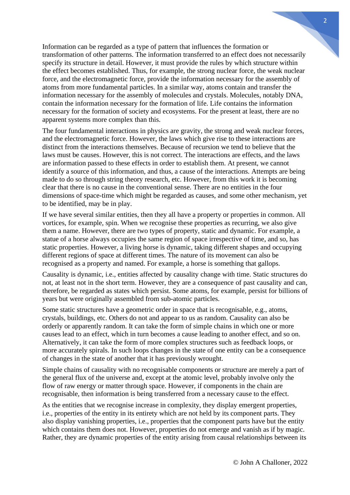Information can be regarded as a type of pattern that influences the formation or transformation of other patterns. The information transferred to an effect does not necessarily specify its structure in detail. However, it must provide the rules by which structure within the effect becomes established. Thus, for example, the strong nuclear force, the weak nuclear force, and the electromagnetic force, provide the information necessary for the assembly of atoms from more fundamental particles. In a similar way, atoms contain and transfer the information necessary for the assembly of molecules and crystals. Molecules, notably DNA, contain the information necessary for the formation of life. Life contains the information necessary for the formation of society and ecosystems. For the present at least, there are no apparent systems more complex than this.

The four fundamental interactions in physics are gravity, the strong and weak nuclear forces, and the electromagnetic force. However, the laws which give rise to these interactions are distinct from the interactions themselves. Because of recursion we tend to believe that the laws must be causes. However, this is not correct. The interactions are effects, and the laws are information passed to these effects in order to establish them. At present, we cannot identify a source of this information, and thus, a cause of the interactions. Attempts are being made to do so through string theory research, etc. However, from this work it is becoming clear that there is no cause in the conventional sense. There are no entities in the four dimensions of space-time which might be regarded as causes, and some other mechanism, yet to be identified, may be in play.

If we have several similar entities, then they all have a property or properties in common. All vortices, for example, spin. When we recognise these properties as recurring, we also give them a name. However, there are two types of property, static and dynamic. For example, a statue of a horse always occupies the same region of space irrespective of time, and so, has static properties. However, a living horse is dynamic, taking different shapes and occupying different regions of space at different times. The nature of its movement can also be recognised as a property and named. For example, a horse is something that gallops.

Causality is dynamic, i.e., entities affected by causality change with time. Static structures do not, at least not in the short term. However, they are a consequence of past causality and can, therefore, be regarded as states which persist. Some atoms, for example, persist for billions of years but were originally assembled from sub-atomic particles.

Some static structures have a geometric order in space that is recognisable, e.g., atoms, crystals, buildings, etc. Others do not and appear to us as random. Causality can also be orderly or apparently random. It can take the form of simple chains in which one or more causes lead to an effect, which in turn becomes a cause leading to another effect, and so on. Alternatively, it can take the form of more complex structures such as feedback loops, or more accurately spirals. In such loops changes in the state of one entity can be a consequence of changes in the state of another that it has previously wrought.

Simple chains of causality with no recognisable components or structure are merely a part of the general flux of the universe and, except at the atomic level, probably involve only the flow of raw energy or matter through space. However, if components in the chain are recognisable, then information is being transferred from a necessary cause to the effect.

As the entities that we recognise increase in complexity, they display emergent properties, i.e., properties of the entity in its entirety which are not held by its component parts. They also display vanishing properties, i.e., properties that the component parts have but the entity which contains them does not. However, properties do not emerge and vanish as if by magic. Rather, they are dynamic properties of the entity arising from causal relationships between its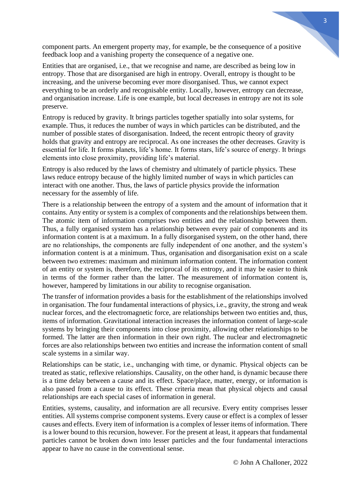component parts. An emergent property may, for example, be the consequence of a positive feedback loop and a vanishing property the consequence of a negative one.

Entities that are organised, i.e., that we recognise and name, are described as being low in entropy. Those that are disorganised are high in entropy. Overall, entropy is thought to be increasing, and the universe becoming ever more disorganised. Thus, we cannot expect everything to be an orderly and recognisable entity. Locally, however, entropy can decrease, and organisation increase. Life is one example, but local decreases in entropy are not its sole preserve.

Entropy is reduced by gravity. It brings particles together spatially into solar systems, for example. Thus, it reduces the number of ways in which particles can be distributed, and the number of possible states of disorganisation. Indeed, the recent entropic theory of gravity holds that gravity and entropy are reciprocal. As one increases the other decreases. Gravity is essential for life. It forms planets, life's home. It forms stars, life's source of energy. It brings elements into close proximity, providing life's material.

Entropy is also reduced by the laws of chemistry and ultimately of particle physics. These laws reduce entropy because of the highly limited number of ways in which particles can interact with one another. Thus, the laws of particle physics provide the information necessary for the assembly of life.

There is a relationship between the entropy of a system and the amount of information that it contains. Any entity or system is a complex of components and the relationships between them. The atomic item of information comprises two entities and the relationship between them. Thus, a fully organised system has a relationship between every pair of components and its information content is at a maximum. In a fully disorganised system, on the other hand, there are no relationships, the components are fully independent of one another, and the system's information content is at a minimum. Thus, organisation and disorganisation exist on a scale between two extremes: maximum and minimum information content. The information content of an entity or system is, therefore, the reciprocal of its entropy, and it may be easier to think in terms of the former rather than the latter. The measurement of information content is, however, hampered by limitations in our ability to recognise organisation.

The transfer of information provides a basis for the establishment of the relationships involved in organisation. The four fundamental interactions of physics, i.e., gravity, the strong and weak nuclear forces, and the electromagnetic force, are relationships between two entities and, thus, items of information. Gravitational interaction increases the information content of large-scale systems by bringing their components into close proximity, allowing other relationships to be formed. The latter are then information in their own right. The nuclear and electromagnetic forces are also relationships between two entities and increase the information content of small scale systems in a similar way.

Relationships can be static, i.e., unchanging with time, or dynamic. Physical objects can be treated as static, reflexive relationships. Causality, on the other hand, is dynamic because there is a time delay between a cause and its effect. Space/place, matter, energy, or information is also passed from a cause to its effect. These criteria mean that physical objects and causal relationships are each special cases of information in general.

Entities, systems, causality, and information are all recursive. Every entity comprises lesser entities. All systems comprise component systems. Every cause or effect is a complex of lesser causes and effects. Every item of information is a complex of lesser items of information. There is a lower bound to this recursion, however. For the present at least, it appears that fundamental particles cannot be broken down into lesser particles and the four fundamental interactions appear to have no cause in the conventional sense.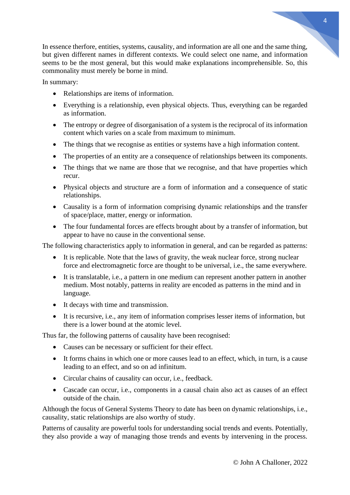In essence therfore, entities, systems, causality, and information are all one and the same thing, but given different names in different contexts. We could select one name, and information seems to be the most general, but this would make explanations incomprehensible. So, this commonality must merely be borne in mind.

In summary:

- Relationships are items of information.
- Everything is a relationship, even physical objects. Thus, everything can be regarded as information.
- The entropy or degree of disorganisation of a system is the reciprocal of its information content which varies on a scale from maximum to minimum.
- The things that we recognise as entities or systems have a high information content.
- The properties of an entity are a consequence of relationships between its components.
- The things that we name are those that we recognise, and that have properties which recur.
- Physical objects and structure are a form of information and a consequence of static relationships.
- Causality is a form of information comprising dynamic relationships and the transfer of space/place, matter, energy or information.
- The four fundamental forces are effects brought about by a transfer of information, but appear to have no cause in the conventional sense.

The following characteristics apply to information in general, and can be regarded as patterns:

- It is replicable. Note that the laws of gravity, the weak nuclear force, strong nuclear force and electromagnetic force are thought to be universal, i.e., the same everywhere.
- It is translatable, i.e., a pattern in one medium can represent another pattern in another medium. Most notably, patterns in reality are encoded as patterns in the mind and in language.
- It decays with time and transmission.
- It is recursive, i.e., any item of information comprises lesser items of information, but there is a lower bound at the atomic level.

Thus far, the following patterns of causality have been recognised:

- Causes can be necessary or sufficient for their effect.
- It forms chains in which one or more causes lead to an effect, which, in turn, is a cause leading to an effect, and so on ad infinitum.
- Circular chains of causality can occur, i.e., feedback.
- Cascade can occur, i.e., components in a causal chain also act as causes of an effect outside of the chain.

Although the focus of General Systems Theory to date has been on dynamic relationships, i.e., causality, static relationships are also worthy of study.

Patterns of causality are powerful tools for understanding social trends and events. Potentially, they also provide a way of managing those trends and events by intervening in the process.